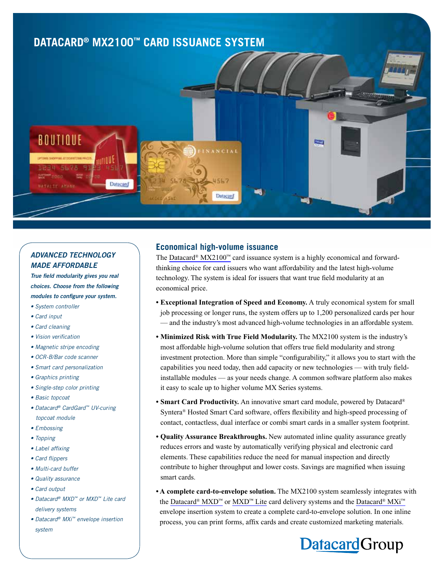

## *ADVANCED TECHNOLOGY MADE AFFORDABLE*

*True field modularity gives you real choices. Choose from the following modules to configure your system.*

- *System controller*
- *Card input*
- *Card cleaning*
- *Vision verification*
- *Magnetic stripe encoding*
- *OCR-B/Bar code scanner*
- *Smart card personalization*
- *Graphics printing*
- *Single-step color printing*
- *Basic topcoat*
- *Datacard® CardGard™ UV-curing topcoat module*
- *Embossing*
- *Topping*
- *Label affixing*
- *Card flippers*
- *Multi-card buffer*
- *Quality assurance*
- *Card output*
- *Datacard® MXD™ or MXD™ Lite card delivery systems*
- *Datacard® MXi™ envelope insertion system*

## **Economical high-volume issuance**

The [Datacard® MX2100™](http://www.datacard.com/high-volume-card-issuance/mx2100) card issuance system is a highly economical and forwardthinking choice for card issuers who want affordability and the latest high-volume technology. The system is ideal for issuers that want true field modularity at an economical price.

- **Exceptional Integration of Speed and Economy.** A truly economical system for small job processing or longer runs, the system offers up to 1,200 personalized cards per hour — and the industry's most advanced high-volume technologies in an affordable system.
- **Minimized Risk with True Field Modularity.** The MX2100 system is the industry's most affordable high-volume solution that offers true field modularity and strong investment protection. More than simple "configurability," it allows you to start with the capabilities you need today, then add capacity or new technologies — with truly fieldinstallable modules — as your needs change. A common software platform also makes it easy to scale up to higher volume MX Series systems.
- **Smart Card Productivity.** An innovative smart card module, powered by Datacard® Syntera® Hosted Smart Card software, offers flexibility and high-speed processing of contact, contactless, dual interface or combi smart cards in a smaller system footprint.
- **Quality Assurance Breakthroughs.** New automated inline quality assurance greatly reduces errors and waste by automatically verifying physical and electronic card elements. These capabilities reduce the need for manual inspection and directly contribute to higher throughput and lower costs. Savings are magnified when issuing smart cards.
- **A complete card-to-envelope solution.** The MX2100 system seamlessly integrates with the [Datacard® MXD™](http://www.datacard.com/credit-card-delivery/mxd) or [MXD™ Lite](http://www.datacard.com/plastic-card-delivery/mxd-lite) card delivery systems and the [Datacard® MXi™](http://www.datacard.com/card-delivery/mxi) envelope insertion system to create a complete card-to-envelope solution. In one inline process, you can print forms, affix cards and create customized marketing materials.